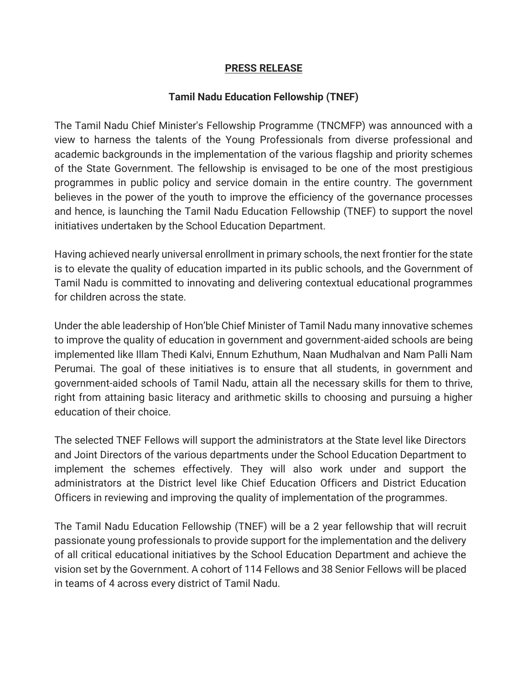## **PRESS RELEASE**

## **Tamil Nadu Education Fellowship (TNEF)**

The Tamil Nadu Chief Minister's Fellowship Programme (TNCMFP) was announced with a view to harness the talents of the Young Professionals from diverse professional and academic backgrounds in the implementation of the various flagship and priority schemes of the State Government. The fellowship is envisaged to be one of the most prestigious programmes in public policy and service domain in the entire country. The government believes in the power of the youth to improve the efficiency of the governance processes and hence, is launching the Tamil Nadu Education Fellowship (TNEF) to support the novel initiatives undertaken by the School Education Department.

Having achieved nearly universal enrollment in primary schools, the next frontier for the state is to elevate the quality of education imparted in its public schools, and the Government of Tamil Nadu is committed to innovating and delivering contextual educational programmes for children across the state.

Under the able leadership of Hon'ble Chief Minister of Tamil Nadu many innovative schemes to improve the quality of education in government and government-aided schools are being implemented like Illam Thedi Kalvi, Ennum Ezhuthum, Naan Mudhalvan and Nam Palli Nam Perumai. The goal of these initiatives is to ensure that all students, in government and government-aided schools of Tamil Nadu, attain all the necessary skills for them to thrive, right from attaining basic literacy and arithmetic skills to choosing and pursuing a higher education of their choice.

The selected TNEF Fellows will support the administrators at the State level like Directors and Joint Directors of the various departments under the School Education Department to implement the schemes effectively. They will also work under and support the administrators at the District level like Chief Education Officers and District Education Officers in reviewing and improving the quality of implementation of the programmes.

The Tamil Nadu Education Fellowship (TNEF) will be a 2 year fellowship that will recruit passionate young professionals to provide support for the implementation and the delivery of all critical educational initiatives by the School Education Department and achieve the vision set by the Government. A cohort of 114 Fellows and 38 Senior Fellows will be placed in teams of 4 across every district of Tamil Nadu.